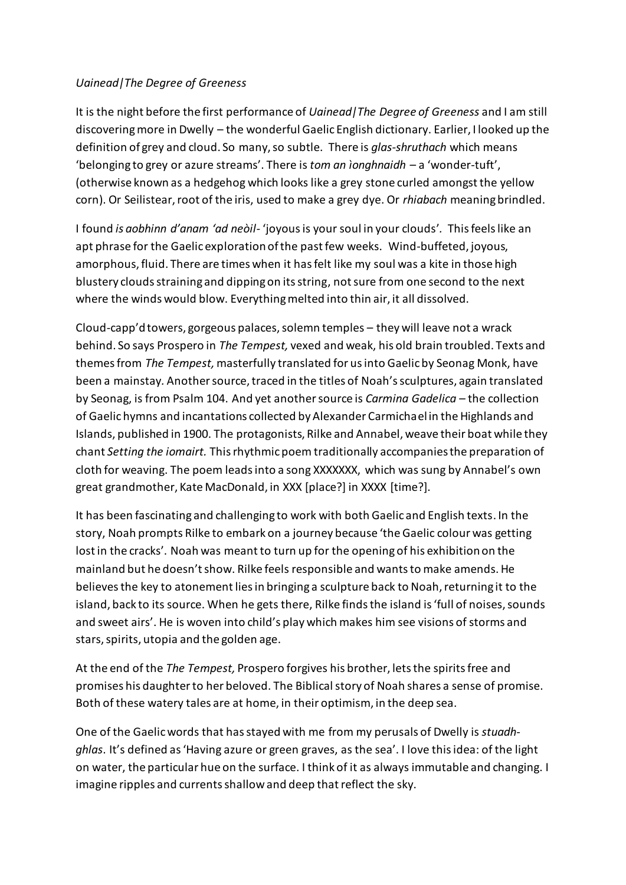## *Uainead|The Degree of Greeness*

It is the night before the first performance of *Uainead|The Degree of Greeness* and I am still discovering more in Dwelly – the wonderful Gaelic English dictionary. Earlier, I looked up the definition of grey and cloud. So many, so subtle. There is *glas-shruthach* which means 'belonging to grey or azure streams'. There is *[tom an ìonghnaidh](javascript:__doPostBack()* – a 'wonder-tuft', (otherwise known as a hedgehog which looks like a grey stone curled amongst the yellow corn). Or Seilistear, root of the iris, used to make a grey dye. Or *rhiabach* meaning brindled.

I found *is aobhinn d'anam 'ad neòil-* 'joyousis your soul in your clouds'*.* This feels like an apt phrase for the Gaelic exploration of the past few weeks. Wind-buffeted, joyous, amorphous, fluid. There are times when it has felt like my soul was a kite in those high blustery clouds straining and dipping on its string, not sure from one second to the next where the winds would blow. Everything melted into thin air, it all dissolved.

Cloud-capp'd towers, gorgeous palaces, solemn temples – they will leave not a wrack behind. So says Prospero in *The Tempest,* vexed and weak, his old brain troubled. Texts and themes from *The Tempest,* masterfully translated for us into Gaelic by Seonag Monk, have been a mainstay*.* Another source, traced in the titles of Noah'ssculptures, again translated by Seonag, is from Psalm 104. And yet anothersource is *Carmina Gadelica –* the collection of Gaelic hymns and incantations collected by Alexander Carmichael in the Highlands and Islands, published in 1900. The protagonists, Rilke and Annabel, weave their boat while they chant *Setting the iomairt.* This rhythmic poem traditionally accompanies the preparation of cloth for weaving. The poem leads into a song XXXXXXX, which was sung by Annabel's own great grandmother, Kate MacDonald, in XXX [place?] in XXXX [time?].

It has been fascinating and challenging to work with both Gaelic and English texts. In the story, Noah prompts Rilke to embark on a journey because 'the Gaelic colour was getting lost in the cracks'. Noah was meant to turn up for the opening of his exhibition on the mainland but he doesn't show. Rilke feels responsible and wants to make amends. He believes the key to atonement lies in bringing a sculpture back to Noah, returning it to the island, back to its source. When he gets there, Rilke finds the island is 'full of noises, sounds and sweet airs'. He is woven into child's play which makes him see visions of storms and stars, spirits, utopia and the golden age.

At the end of the *The Tempest,* Prospero forgives his brother, lets the spirits free and promises his daughter to her beloved. The Biblical story of Noah shares a sense of promise. Both of these watery tales are at home, in their optimism, in the deep sea.

One of the Gaelic words that has stayed with me from my perusals of Dwelly is *stuadhghlas*. It's defined as 'Having azure or green graves, as the sea'. I love this idea: of the light on water, the particular hue on the surface. I think of it as always immutable and changing. I imagine ripples and currents shallow and deep that reflect the sky.